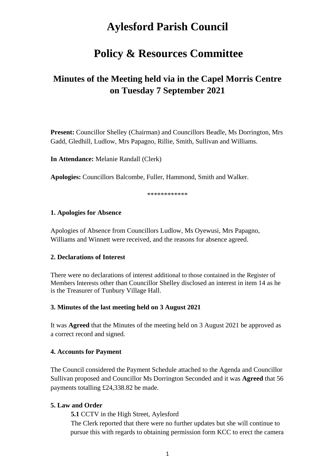# **Aylesford Parish Council**

## **Policy & Resources Committee**

## **Minutes of the Meeting held via in the Capel Morris Centre on Tuesday 7 September 2021**

**Present:** Councillor Shelley (Chairman) and Councillors Beadle, Ms Dorrington, Mrs Gadd, Gledhill, Ludlow, Mrs Papagno, Rillie, Smith, Sullivan and Williams.

**In Attendance:** Melanie Randall (Clerk)

**Apologies:** Councillors Balcombe, Fuller, Hammond, Smith and Walker.

\*\*\*\*\*\*\*\*\*\*\*\*

#### **1. Apologies for Absence**

Apologies of Absence from Councillors Ludlow, Ms Oyewusi, Mrs Papagno, Williams and Winnett were received, and the reasons for absence agreed.

#### **2. Declarations of Interest**

There were no declarations of interest additional to those contained in the Register of Members Interests other than Councillor Shelley disclosed an interest in item 14 as he is the Treasurer of Tunbury Village Hall.

#### **3. Minutes of the last meeting held on 3 August 2021**

It was **Agreed** that the Minutes of the meeting held on 3 August 2021 be approved as a correct record and signed.

#### **4. Accounts for Payment**

The Council considered the Payment Schedule attached to the Agenda and Councillor Sullivan proposed and Councillor Ms Dorrington Seconded and it was **Agreed** that 56 payments totalling £24,338.82 be made.

#### **5. Law and Order**

**5.1** CCTV in the High Street, Aylesford The Clerk reported that there were no further updates but she will continue to pursue this with regards to obtaining permission form KCC to erect the camera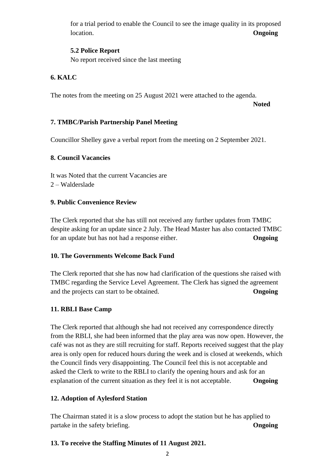for a trial period to enable the Council to see the image quality in its proposed location. **Ongoing**

### **5.2 Police Report**

No report received since the last meeting

## **6. KALC**

The notes from the meeting on 25 August 2021 were attached to the agenda.

**Noted**

## **7. TMBC/Parish Partnership Panel Meeting**

Councillor Shelley gave a verbal report from the meeting on 2 September 2021.

## **8. Council Vacancies**

It was Noted that the current Vacancies are 2 – Walderslade

## **9. Public Convenience Review**

The Clerk reported that she has still not received any further updates from TMBC despite asking for an update since 2 July. The Head Master has also contacted TMBC for an update but has not had a response either. **Ongoing**

## **10. The Governments Welcome Back Fund**

The Clerk reported that she has now had clarification of the questions she raised with TMBC regarding the Service Level Agreement. The Clerk has signed the agreement and the projects can start to be obtained. **Ongoing**

## **11. RBLI Base Camp**

The Clerk reported that although she had not received any correspondence directly from the RBLI, she had been informed that the play area was now open. However, the café was not as they are still recruiting for staff. Reports received suggest that the play area is only open for reduced hours during the week and is closed at weekends, which the Council finds very disappointing. The Council feel this is not acceptable and asked the Clerk to write to the RBLI to clarify the opening hours and ask for an explanation of the current situation as they feel it is not acceptable. **Ongoing**

## **12. Adoption of Aylesford Station**

The Chairman stated it is a slow process to adopt the station but he has applied to partake in the safety briefing. **Ongoing**

## **13. To receive the Staffing Minutes of 11 August 2021.**